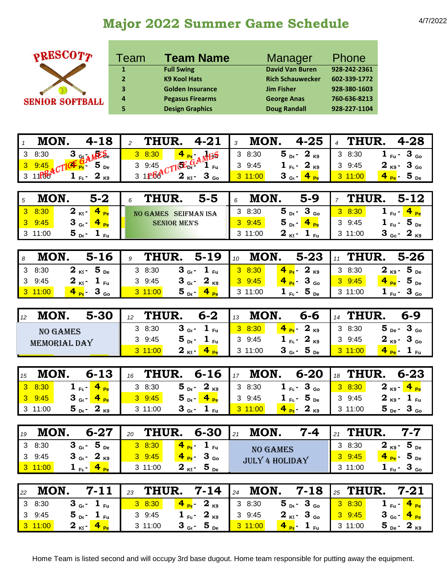## **Major 2022 Summer Game Schedule** 4/7/2022



| Team           | <b>Team Name</b>        | Manager                 | Phone        |
|----------------|-------------------------|-------------------------|--------------|
| $\mathbf{1}$   | <b>Full Swing</b>       | <b>David Van Buren</b>  | 928-242-2361 |
| $\overline{2}$ | <b>K9 Kool Hats</b>     | <b>Rich Schauwecker</b> | 602-339-1772 |
| 3              | <b>Golden Insurance</b> | <b>Jim Fisher</b>       | 928-380-1603 |
| 4              | <b>Pegasus Firearms</b> | <b>George Anas</b>      | 760-636-8213 |
| 5              | <b>Design Graphics</b>  | <b>Doug Randall</b>     | 928-227-1104 |
|                |                         |                         |              |

| MON.<br>$4 - 18$                     |                             | <b>THUR.</b> 4-21   $_3$ MON. 4-25   $_4$ THUR. 4-28                                                                                                                                                                                                                                                                   |                                            |
|--------------------------------------|-----------------------------|------------------------------------------------------------------------------------------------------------------------------------------------------------------------------------------------------------------------------------------------------------------------------------------------------------------------|--------------------------------------------|
| 3 8:30 $3 \frac{1}{9}$ $\frac{1}{2}$ | 3 8:30                      | $\frac{4}{1}$ $\frac{1}{1}$ $\frac{1}{1}$ $\frac{1}{1}$ $\frac{1}{1}$ $\frac{1}{1}$ $\frac{3}{1}$ $\frac{8.30}{1}$ $\frac{5}{1}$ $\frac{1}{1}$ $\frac{2}{1}$ $\frac{1}{1}$ $\frac{3}{1}$ $\frac{1}{1}$ $\frac{3}{1}$ $\frac{1}{1}$ $\frac{1}{1}$ $\frac{1}{1}$ $\frac{1}{1}$ $\frac{1}{1}$ $\frac{1}{1}$ $\frac{1}{1}$ |                                            |
| $3$ $9:45$                           | $1 \t 3 \t 9.45 \t 710^{6}$ | 39:45<br>$1_{F_{U}}$ - $2_{K9}$                                                                                                                                                                                                                                                                                        | 39:45<br>$2_{K9} - 3_{G0}$                 |
| 3.1100<br>$1_{F1} - 2_{K9}$          | $2_{K}$ - 3 $_{Ga}$         | 311:00 <br>$3 G6 - 4 F6$                                                                                                                                                                                                                                                                                               | $4_{\text{Pe}}$ - 5 <sub>De</sub><br>11:00 |

|              | MON.          |                   | $5-2$           | THUR.<br>$5 - 5$<br>ĥ                 | MON.<br>6 | $5-9$                      | <b>THUR</b> | $5-12$                            |
|--------------|---------------|-------------------|-----------------|---------------------------------------|-----------|----------------------------|-------------|-----------------------------------|
| $\mathbf{3}$ | 8:30          | 2 <sub>K\$s</sub> | 4 <sub>pc</sub> | <b>NO GAMES</b><br><b>SEIFMAN ISA</b> | 8:30      | $5_{Df}$<br>$3_{\circ}$    | 8:30        | $4_{\text{Pe}}$<br>$Fu^-$         |
|              | $3\quad 9:45$ | 2<br>G(           |                 | <b>SENIOR MEN'S</b>                   |           | $5_{Df}$ -                 | 9:45        | $_{\text{Fu}}$ - 5 $_{\text{De}}$ |
|              | 11:00         | $5_{Df}$          | Fu              |                                       | 11:00     | C.<br>$K\mathcal{S}$<br>Fu | 1:00        | $2_{\kappa}$<br>ა <sub>Go</sub> . |

| MON.                | $5 - 16$                            | THUR.     | $5-19$                       | MON.<br>$\vert$ 10 | $5 - 23$                            | <b>THUR.</b> | $5 - 26$                           |
|---------------------|-------------------------------------|-----------|------------------------------|--------------------|-------------------------------------|--------------|------------------------------------|
| 3 8:30              | $2$ <sub>KS</sub> - 5 <sub>De</sub> | 3 8:30    | $3\,$ G( $^{\circ}$ $1\,$ Fu | $\parallel$ 3 8:30 | $4_{\text{Pe}}$ - 2 <sub>K9</sub>   | 38:30        | $2_{K9}$ - 5 <sub>De</sub>         |
| 3 9:45              | $2 \kappa - 1$ Fu                   | 9:45<br>3 | $3 G6 - 2 K9$                | 9:45               | $4 \frac{4}{10}$ - 3 $\frac{6}{10}$ | 9:45         | $4_{\text{pe}}$ - 5 $_{\text{De}}$ |
| $4_{pc}$<br>3 11:00 | 3 <sub>Go</sub>                     | 11:00     | $5_{Df}$ -                   | 3 11:00            | $1$ <sub>Fu</sub> -5 <sub>De</sub>  | 11:00        | $1$ Fu $-$ 3 Go                    |

| $5 - 30$<br>12      | <b>THUR</b><br>12 | $6 - 2$                        | MON.<br>13 | $6 - 6$                            | <b>THIIR</b><br>14 | 5-9                              |
|---------------------|-------------------|--------------------------------|------------|------------------------------------|--------------------|----------------------------------|
| <b>NO GAMES</b>     | 8:30<br>3         | 3<br>$-$ Gr $^{\circ}$<br>Fu - | 8:30       | $\boldsymbol{\Lambda}$<br>K9       | 8:30               | $3_{\circ}$<br>$5_{\text{De}}$ - |
| <b>MEMORIAL DAY</b> | 9:45<br>3         | Fu                             | 9:45       | K9                                 | 9:45               | $3_{\rm{Go}}$<br>K9              |
|                     |                   | C.<br>$4$ K.                   | 11:00      | っ<br>$\overline{O}$ De<br>G(<br>O. |                    | Fu                               |

| 15 | MON.        | $6 - 13$                          |           |                                       |                | <b>THUR.</b> 6-16 $\vert_{17}$ MON. 6-20 $\vert_{18}$ THUR. 6-23 |         |                                 |
|----|-------------|-----------------------------------|-----------|---------------------------------------|----------------|------------------------------------------------------------------|---------|---------------------------------|
|    | 3 8:30      | $1_{\text{F1}}$ - $4_{\text{Pe}}$ | 38:30     | $5$ <sub>Dt</sub> - $2$ <sub>K9</sub> | $1 \t3 \t8:30$ | $1$ $_{\sf{Fu}}$ - $3$ $_{\sf{Go}}$                              | 38:30   | $2_{K9}$ - $4_{Pe}$             |
|    | $3 \t 9:45$ | $3 Gg - 4 Fg$                     | $3\,9:45$ | 5 <sub>D∢</sub> - <mark>4 թ</mark> ջ  | 3 9:45         | $1$ Fu <sup>-</sup> 5 De                                         | 3 9:45  | $2_{K9} - 1_{F1}$               |
|    | 3 11:00     | $5_{pc}$ - 2 <sub>K9</sub>        | 3 11:00   |                                       | 1:00           | $4_{Pe}$ - 2 <sub>K9</sub>                                       | 3 11:00 | $5_{\text{De}} - 3_{\text{Go}}$ |

| 19 | MON.                       | $6 - 27$        | THUR.<br>20 | $6 - 30$                           | MON.<br>$7 - 4$<br>12 <sup>4</sup> | THUR.<br>21 | $7 - 7$                                                      |
|----|----------------------------|-----------------|-------------|------------------------------------|------------------------------------|-------------|--------------------------------------------------------------|
|    | $3 Gg - 5 Gg$<br>3 8:30    |                 | 38:30       | $4_{P6}$ -<br>$\perp$ Fu           | <b>NO GAMES</b>                    | 3 8:30      | $5_{\circ}$<br>$2_{K9}$ -                                    |
|    | $3Gr$ -<br>3 9:45          | $2_{K9}$        | 3 9:45      | $4_{P6}$<br>3 <sub>Go</sub>        | JULY 4 HOLIDAY                     | 9:45        | $\boldsymbol{\Lambda}$<br>$5_{\text{De}}$<br><sup>+</sup> Pe |
|    | 3 11:00<br>Fu <sup>-</sup> | $4_{\text{Pe}}$ | 3 11:00     | 2 <sub>K5</sub><br>$5_{\text{de}}$ |                                    | 3 11:00     | $3_{\circ}$<br>$\perp$ Fu $\perp$                            |

| 22 | MON.                                          | $7 - 11$ | THUR.<br>23                       |                                  |       | <b>7-14</b> $\vert_{24}$ MON. 7-18 $\vert_{25}$ THUR. |                      | $7 - 21$                                       |
|----|-----------------------------------------------|----------|-----------------------------------|----------------------------------|-------|-------------------------------------------------------|----------------------|------------------------------------------------|
|    | $3$ G( $-1$ Fu<br>3 8:30                      |          | $\frac{3 \cdot 8:30}{3 \cdot 30}$ |                                  |       |                                                       |                      | 1 <sub>Fu</sub> - <mark>4 <sub>Pe</sub></mark> |
|    | $5$ <sub>De</sub> - 1 <sub>Fu</sub><br>3 9:45 |          | 3 9:45                            | 1 $_{F1}$ - 2 $_{K9}$ 3 9:45     |       | $2 \kappa$ - 3 <sub>Go</sub>                          | $\frac{8}{1}$ 3 9:45 | $3_{\text{Ga}}$ $4_{\text{Pe}}$                |
|    | $2Ks$ -<br>$3 \t11:00$                        |          | 3 11:00                           | $3_{\text{G}}$ - $5_{\text{De}}$ | 11:00 | 4 <sub>pc</sub><br>$\mathbf{I}_{\text{F}}$            | 3 11:00              | 5 $_{\mathrm{De}}$ -                           |